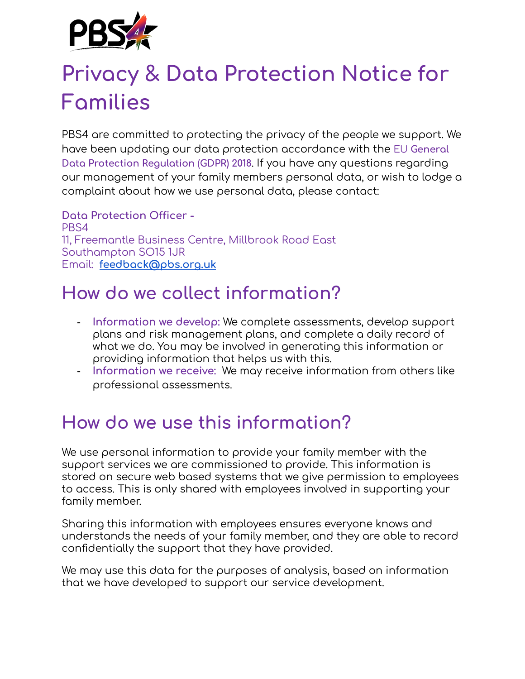

# **Privacy & Data Protection Notice for Families**

PBS4 are committed to protecting the privacy of the people we support. We have been updating our data protection accordance with the EU **General Data Protection Regulation** (**GDPR) 2018**. If you have any questions regarding our management of your family members personal data, or wish to lodge a complaint about how we use personal data, please contact:

**Data Protection Officer -** PBS4 11, Freemantle Business Centre, Millbrook Road East Southampton SO15 1JR Email: **[feedback@pbs.org.uk](mailto:feedback@pbs.org.uk)**

## **How do we collect information?**

- **Information we develop:** We complete assessments, develop support plans and risk management plans, and complete a daily record of what we do. You may be involved in generating this information or providing information that helps us with this.
- **Information we receive:** We may receive information from others like professional assessments.

## **How do we use this information?**

We use personal information to provide your family member with the support services we are commissioned to provide. This information is stored on secure web based systems that we give permission to employees to access. This is only shared with employees involved in supporting your family member.

Sharing this information with employees ensures everyone knows and understands the needs of your family member, and they are able to record confidentially the support that they have provided.

We may use this data for the purposes of analysis, based on information that we have developed to support our service development.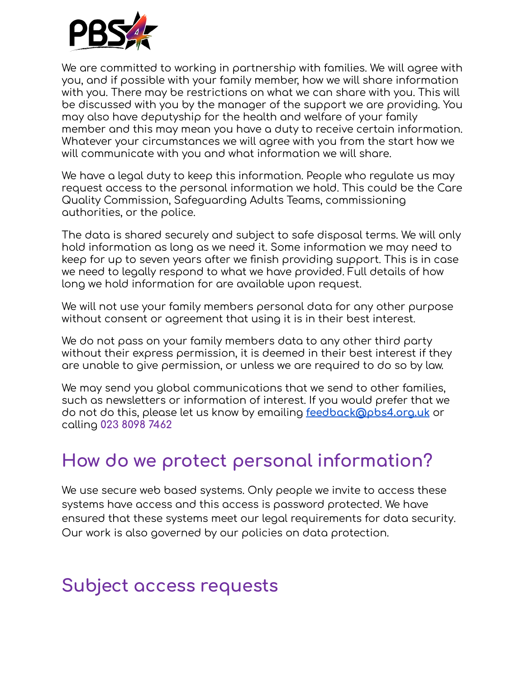

We are committed to working in partnership with families. We will agree with you, and if possible with your family member, how we will share information with you. There may be restrictions on what we can share with you. This will be discussed with you by the manager of the support we are providing. You may also have deputyship for the health and welfare of your family member and this may mean you have a duty to receive certain information. Whatever your circumstances we will agree with you from the start how we will communicate with you and what information we will share.

We have a legal duty to keep this information. People who regulate us may request access to the personal information we hold. This could be the Care Quality Commission, Safeguarding Adults Teams, commissioning authorities, or the police.

The data is shared securely and subject to safe disposal terms. We will only hold information as long as we need it. Some information we may need to keep for up to seven years after we finish providing support. This is in case we need to legally respond to what we have provided. Full details of how long we hold information for are available upon request.

We will not use your family members personal data for any other purpose without consent or agreement that using it is in their best interest.

We do not pass on your family members data to any other third party without their express permission, it is deemed in their best interest if they are unable to give permission, or unless we are required to do so by law.

We may send you global communications that we send to other families, such as newsletters or information of interest. If you would prefer that we do not do this, please let us know by emailing **[feedback@pbs4.org.uk](mailto:feedback@pbs4.org.uk)** or calling **023 8098 7462**

#### **How do we protect personal information?**

We use secure web based systems. Only people we invite to access these systems have access and this access is password protected. We have ensured that these systems meet our legal requirements for data security. Our work is also governed by our policies on data protection.

#### **Subject access requests**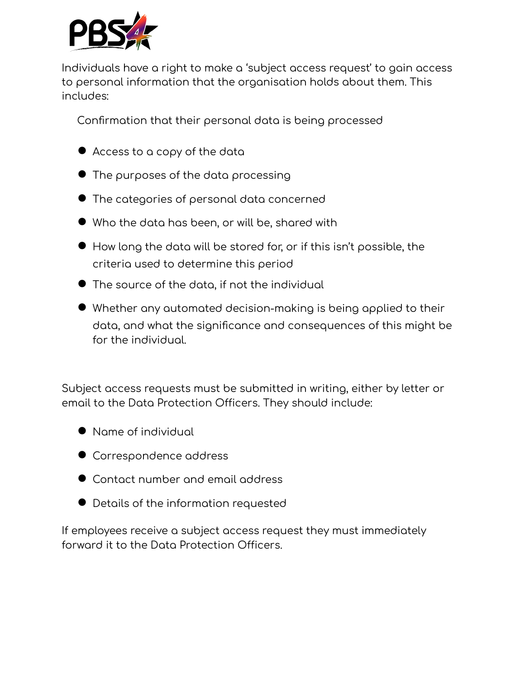

Individuals have a right to make a 'subject access request' to gain access to personal information that the organisation holds about them. This includes:

Confirmation that their personal data is being processed

- Access to a copy of the data
- The purposes of the data processing
- The categories of personal data concerned
- Who the data has been, or will be, shared with
- How long the data will be stored for, or if this isn't possible, the criteria used to determine this period
- The source of the data, if not the individual
- Whether any automated decision-making is being applied to their data, and what the significance and consequences of this might be for the individual.

Subject access requests must be submitted in writing, either by letter or email to the Data Protection Officers. They should include:

- Name of individual
- Correspondence address
- Contact number and email address
- Details of the information requested

If employees receive a subject access request they must immediately forward it to the Data Protection Officers.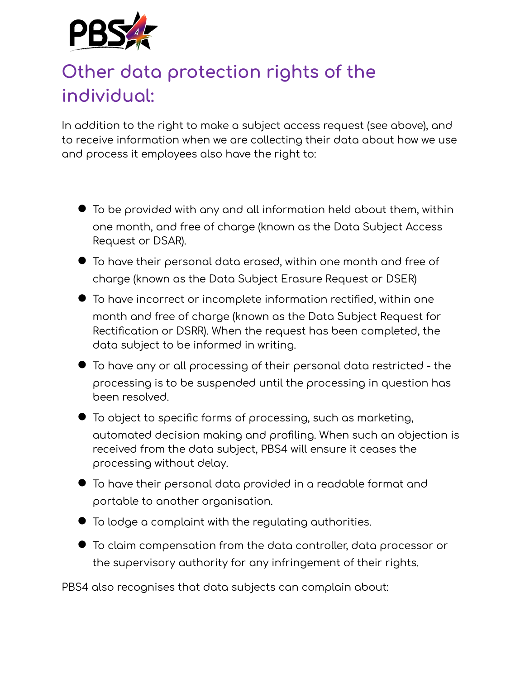

# **Other data protection rights of the individual:**

In addition to the right to make a subject access request (see above), and to receive information when we are collecting their data about how we use and process it employees also have the right to:

- To be provided with any and all information held about them, within one month, and free of charge (known as the Data Subject Access Request or DSAR).
- To have their personal data erased, within one month and free of charge (known as the Data Subject Erasure Request or DSER)
- To have incorrect or incomplete information rectified, within one month and free of charge (known as the Data Subject Request for Rectification or DSRR). When the request has been completed, the data subject to be informed in writing.
- To have any or all processing of their personal data restricted the processing is to be suspended until the processing in question has been resolved.
- To object to specific forms of processing, such as marketing, automated decision making and profiling. When such an objection is received from the data subject, PBS4 will ensure it ceases the processing without delay.
- To have their personal data provided in <sup>a</sup> readable format and portable to another organisation.
- To lodge <sup>a</sup> complaint with the regulating authorities.
- To claim compensation from the data controller, data processor or the supervisory authority for any infringement of their rights.

PBS4 also recognises that data subjects can complain about: